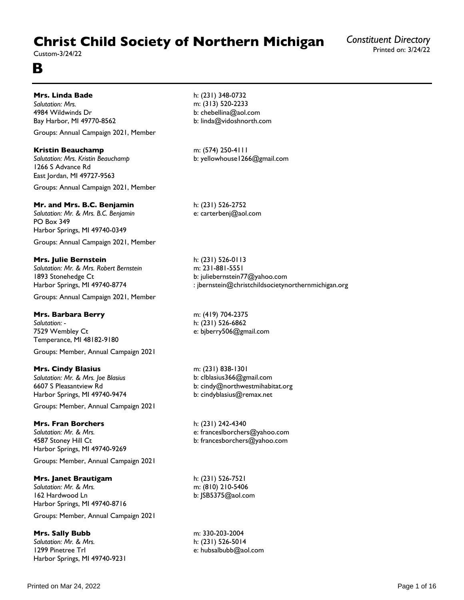# **Christ Child Society of Northern Michigan**

Custom-3/24/22

## **B**

## **Mrs. Linda Bade**

*Salutation: Mrs.* 4984 Wildwinds Dr Bay Harbor, MI 49770-8562

Groups: Annual Campaign 2021, Member

## **Kristin Beauchamp**

*Salutation: Mrs. Kristin Beauchamp* 1266 S Advance Rd East Jordan, MI 49727-9563

Groups: Annual Campaign 2021, Member

## **Mr. and Mrs. B.C. Benjamin**

*Salutation: Mr. & Mrs. B.C. Benjamin* PO Box 349 Harbor Springs, MI 49740-0349 Groups: Annual Campaign 2021, Member

## **Mrs. Julie Bernstein**

*Salutation: Mr. & Mrs. Robert Bernstein* 1893 Stonehedge Ct Harbor Springs, MI 49740-8774

Groups: Annual Campaign 2021, Member

## **Mrs. Barbara Berry**

*Salutation: -* 7529 Wembley Ct Temperance, MI 48182-9180

Groups: Member, Annual Campaign 2021

## **Mrs. Cindy Blasius**

*Salutation: Mr. & Mrs. Joe Blasius* 6607 S Pleasantview Rd Harbor Springs, MI 49740-9474

Groups: Member, Annual Campaign 2021

## **Mrs. Fran Borchers**

*Salutation: Mr. & Mrs.* 4587 Stoney Hill Ct Harbor Springs, MI 49740-9269

Groups: Member, Annual Campaign 2021

#### **Mrs. Janet Brautigam**

*Salutation: Mr. & Mrs.* 162 Hardwood Ln Harbor Springs, MI 49740-8716

Groups: Member, Annual Campaign 2021

## **Mrs. Sally Bubb**

*Salutation: Mr. & Mrs.* 1299 Pinetree Trl Harbor Springs, MI 49740-9231 h: (231) 348-0732 m: (313) 520-2233 b: chebellina@aol.com b: linda@vidoshnorth.com

m: (574) 250-4111 b: yellowhouse1266@gmail.com

h: (231) 526-2752 e: carterbenj@aol.com

h: (231) 526-0113 m: 231-881-5551 b: juliebernstein77@yahoo.com : jbernstein@christchildsocietynorthernmichigan.org

m: (419) 704-2375 h: (231) 526-6862 e: bjberry506@gmail.com

m: (231) 838-1301 b: clblasius366@gmail.com b: cindy@northwestmihabitat.org b: cindyblasius@remax.net

h: (231) 242-4340 e: franceslborchers@yahoo.com b: francesborchers@yahoo.com

h: (231) 526-7521 m: (810) 210-5406 b: JSB5375@aol.com

m: 330-203-2004 h: (231) 526-5014 e: hubsalbubb@aol.com *Constituent Directory*

Printed on: 3/24/22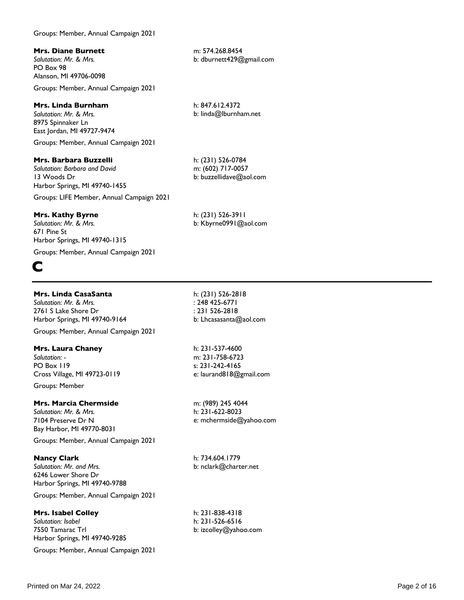## Groups: Member, Annual Campaign 2021

## **Mrs. Diane Burnett**

*Salutation: Mr. & Mrs.* PO Box 98 Alanson, MI 49706-0098

Groups: Member, Annual Campaign 2021

#### **Mrs. Linda Burnham**

*Salutation: Mr. & Mrs.* 8975 Spinnaker Ln East Jordan, MI 49727-9474 Groups: Member, Annual Campaign 2021

**Mrs. Barbara Buzzelli**

*Salutation: Barbara and David* 13 Woods Dr Harbor Springs, MI 49740-1455

Groups: LIFE Member, Annual Campaign 2021

## **Mrs. Kathy Byrne**

*Salutation: Mr. & Mrs.* 671 Pine St Harbor Springs, MI 49740-1315

Groups: Member, Annual Campaign 2021

# **C**

## **Mrs. Linda CasaSanta**

*Salutation: Mr. & Mrs.* 2761 S Lake Shore Dr Harbor Springs, MI 49740-9164

Groups: Member, Annual Campaign 2021

#### **Mrs. Laura Chaney**

*Salutation: -* PO Box 119 Cross Village, MI 49723-0119

Groups: Member

#### **Mrs. Marcia Chermside**

*Salutation: Mr. & Mrs.* 7104 Preserve Dr N Bay Harbor, MI 49770-8031

Groups: Member, Annual Campaign 2021

**Nancy Clark** *Salutation: Mr. and Mrs.* 6246 Lower Shore Dr Harbor Springs, MI 49740-9788

Groups: Member, Annual Campaign 2021

#### **Mrs. Isabel Colley**

*Salutation: Isabel* 7550 Tamarac Trl Harbor Springs, MI 49740-9285

Groups: Member, Annual Campaign 2021

h: (231) 526-2818 : 248 425-6771 : 231 526-2818 b: Lhcasasanta@aol.com

h: 231-537-4600 m: 231-758-6723 s: 231-242-4165 e: laurand818@gmail.com

m: (989) 245 4044 h: 231-622-8023 e: mchermside@yahoo.com

h: 734.604.1779 b: nclark@charter.net

h: 231-838-4318 h: 231-526-6516 b: izcolley@yahoo.com

m: 574.268.8454 b: dburnett429@gmail.com

h: 847.612.4372 b: linda@lburnham.net

h: (231) 526-0784 m: (602) 717-0057 b: buzzellidave@aol.com

h: (231) 526-3911 b: Kbyrne0991@aol.com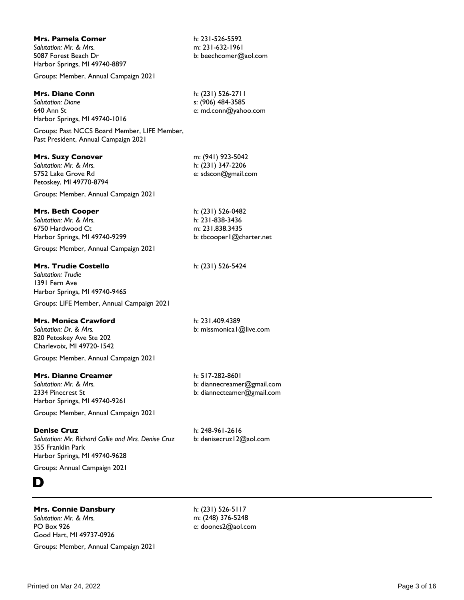| <b>Mrs. Pamela Comer</b><br>Salutation: Mr. & Mrs.<br>5087 Forest Beach Dr<br>Harbor Springs, MI 49740-8897                                                                               | h: 231-526-5592<br>m: 231-632-1961<br>b: beechcomer@aol.com                           |
|-------------------------------------------------------------------------------------------------------------------------------------------------------------------------------------------|---------------------------------------------------------------------------------------|
| Groups: Member, Annual Campaign 2021                                                                                                                                                      |                                                                                       |
| <b>Mrs. Diane Conn</b><br><b>Salutation: Diane</b><br>640 Ann St<br>Harbor Springs, MI 49740-1016<br>Groups: Past NCCS Board Member, LIFE Member,<br>Past President, Annual Campaign 2021 | h: (231) 526-2711<br>s: (906) 484-3585<br>e: md.conn@yahoo.com                        |
| <b>Mrs. Suzy Conover</b><br>Salutation: Mr. & Mrs.<br>5752 Lake Grove Rd<br>Petoskey, MI 49770-8794<br>Groups: Member, Annual Campaign 2021                                               | m: (941) 923-5042<br>h: (231) 347-2206<br>e: sdscon@gmail.com                         |
| <b>Mrs. Beth Cooper</b><br>Salutation: Mr. & Mrs.<br>6750 Hardwood Ct<br>Harbor Springs, MI 49740-9299<br>Groups: Member, Annual Campaign 2021                                            | h: (231) 526-0482<br>h: 231-838-3436<br>m: 231.838.3435<br>b: tbcooper   @charter.net |
| <b>Mrs. Trudie Costello</b><br>Salutation: Trudie<br>1391 Fern Ave<br>Harbor Springs, MI 49740-9465<br>Groups: LIFE Member, Annual Campaign 2021                                          | h: (231) 526-5424                                                                     |
| <b>Mrs. Monica Crawford</b><br>Salutation: Dr. & Mrs.<br>820 Petoskey Ave Ste 202<br>Charlevoix, MI 49720-1542<br>Groups: Member, Annual Campaign 2021                                    | h: 231.409.4389<br>b: missmonica   @live.com                                          |
| <b>Mrs. Dianne Creamer</b><br>Salutation: Mr. & Mrs.<br>2334 Pinecrest St<br>Harbor Springs, MI 49740-9261<br>Groups: Member, Annual Campaign 2021                                        | h: 517-282-8601<br>b: diannecreamer@gmail.com<br>b: diannecteamer@gmail.com           |
| <b>Denise Cruz</b><br>Salutation: Mr. Richard Collie and Mrs. Denise Cruz<br>355 Franklin Park<br>Harbor Springs, MI 49740-9628                                                           | h: 248-961-2616<br>b: denisecruz   2@aol.com                                          |
| Groups: Annual Campaign 2021                                                                                                                                                              |                                                                                       |
|                                                                                                                                                                                           |                                                                                       |

## **Mrs. Connie Dansbury**

*Salutation: Mr. & Mrs.* PO Box 926 Good Hart, MI 49737-0926 Groups: Member, Annual Campaign 2021

h: (231) 526-5117 m: (248) 376-5248 e: doones2@aol.com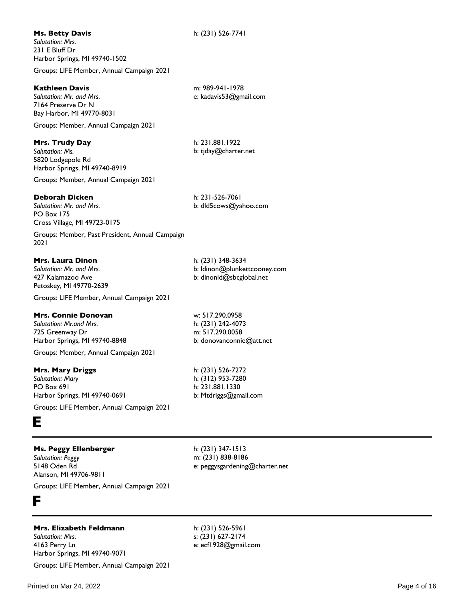#### **Kathleen Davis**

*Salutation: Mr. and Mrs.* 7164 Preserve Dr N Bay Harbor, MI 49770-8031

Groups: Member, Annual Campaign 2021

#### **Mrs. Trudy Day**

*Salutation: Ms.* 5820 Lodgepole Rd Harbor Springs, MI 49740-8919

Groups: Member, Annual Campaign 2021

#### **Deborah Dicken**

*Salutation: Mr. and Mrs.* PO Box 175 Cross Village, MI 49723-0175

Groups: Member, Past President, Annual Campaign 2021

## **Mrs. Laura Dinon**

*Salutation: Mr. and Mrs.* 427 Kalamazoo Ave Petoskey, MI 49770-2639

Groups: LIFE Member, Annual Campaign 2021

#### **Mrs. Connie Donovan**

*Salutation: Mr.and Mrs.* 725 Greenway Dr Harbor Springs, MI 49740-8848

Groups: Member, Annual Campaign 2021

#### **Mrs. Mary Driggs**

*Salutation: Mary* PO Box 691 Harbor Springs, MI 49740-0691

Groups: LIFE Member, Annual Campaign 2021

## **E**

## **Ms. Peggy Ellenberger**

*Salutation: Peggy* 5148 Oden Rd Alanson, MI 49706-9811 h: (231) 347-1513 m: (231) 838-8186 e: peggysgardening@charter.net

h: (231) 526-7741

m: 989-941-1978 e: kadavis53@gmail.com

h: 231.881.1922 b: tjday@charter.net

h: 231-526-7061

h: (231) 348-3634

w: 517.290.0958 h: (231) 242-4073 m: 517.290.0058

h: (231) 526-7272 h: (312) 953-7280 h: 231.881.1330 b: Mtdriggs@gmail.com

b: donovanconnie@att.net

b: ldinon@plunkettcooney.com b: dinonld@sbcglobal.net

b: dld5cows@yahoo.com

Groups: LIFE Member, Annual Campaign 2021

## **F**

## **Mrs. Elizabeth Feldmann**

*Salutation: Mrs.* 4163 Perry Ln Harbor Springs, MI 49740-9071 Groups: LIFE Member, Annual Campaign 2021 h: (231) 526-5961 s: (231) 627-2174 e: ecf1928@gmail.com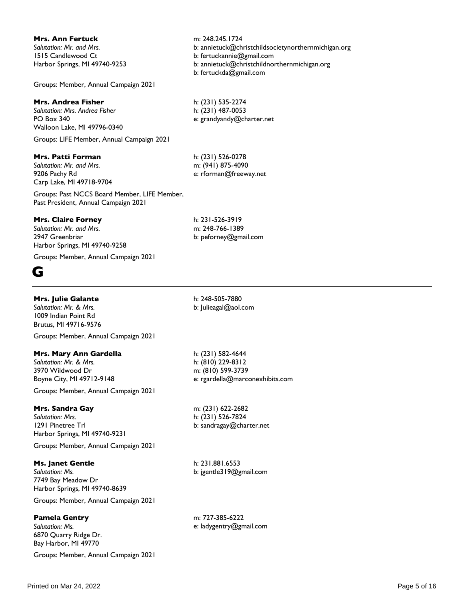## **Mrs. Ann Fertuck**

*Salutation: Mr. and Mrs.* 1515 Candlewood Ct Harbor Springs, MI 49740-9253

Groups: Member, Annual Campaign 2021

## **Mrs. Andrea Fisher**

*Salutation: Mrs. Andrea Fisher* PO Box 340 Walloon Lake, MI 49796-0340

Groups: LIFE Member, Annual Campaign 2021

## **Mrs. Patti Forman**

*Salutation: Mr. and Mrs.* 9206 Pachy Rd Carp Lake, MI 49718-9704

Groups: Past NCCS Board Member, LIFE Member, Past President, Annual Campaign 2021

## **Mrs. Claire Forney**

*Salutation: Mr. and Mrs.* 2947 Greenbriar Harbor Springs, MI 49740-9258

Groups: Member, Annual Campaign 2021

## **G**

## **Mrs. Julie Galante**

*Salutation: Mr. & Mrs.* 1009 Indian Point Rd Brutus, MI 49716-9576

Groups: Member, Annual Campaign 2021

## **Mrs. Mary Ann Gardella**

*Salutation: Mr. & Mrs.* 3970 Wildwood Dr Boyne City, MI 49712-9148

Groups: Member, Annual Campaign 2021

## **Mrs. Sandra Gay**

*Salutation: Mrs.* 1291 Pinetree Trl Harbor Springs, MI 49740-9231

Groups: Member, Annual Campaign 2021

**Ms. Janet Gentle** *Salutation: Ms.* 7749 Bay Meadow Dr Harbor Springs, MI 49740-8639

Groups: Member, Annual Campaign 2021

## **Pamela Gentry**

*Salutation: Ms.* 6870 Quarry Ridge Dr. Bay Harbor, MI 49770

Groups: Member, Annual Campaign 2021

m: 248.245.1724 b: annietuck@christchildsocietynorthernmichigan.org b: fertuckannie@gmail.com b: annietuck@christchildnorthernmichigan.org b: fertuckda@gmail.com

h: (231) 535-2274 h: (231) 487-0053 e: grandyandy@charter.net

h: (231) 526-0278 m: (941) 875-4090 e: rforman@freeway.net

h: 231-526-3919 m: 248-766-1389 b: peforney@gmail.com

h: 248-505-7880 b: Julieagal@aol.com

h: (231) 582-4644 h: (810) 229-8312 m: (810) 599-3739 e: rgardella@marconexhibits.com

m: (231) 622-2682 h: (231) 526-7824 b: sandragay@charter.net

h: 231.881.6553 b: jgentle319@gmail.com

m: 727-385-6222 e: ladygentry@gmail.com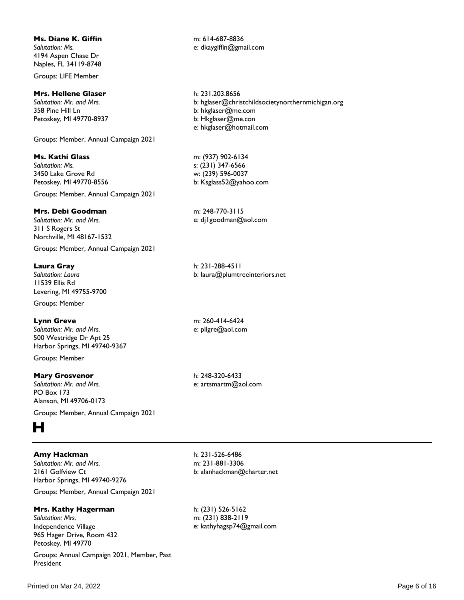#### **Ms. Diane K. Giffin**

*Salutation: Ms.* 4194 Aspen Chase Dr Naples, FL 34119-8748

Groups: LIFE Member

#### **Mrs. Hellene Glaser**

*Salutation: Mr. and Mrs.* 358 Pine Hill Ln Petoskey, MI 49770-8937

Groups: Member, Annual Campaign 2021

#### **Ms. Kathi Glass**

*Salutation: Ms.* 3450 Lake Grove Rd Petoskey, MI 49770-8556

Groups: Member, Annual Campaign 2021

## **Mrs. Debi Goodman**

*Salutation: Mr. and Mrs.* 311 S Rogers St Northville, MI 48167-1532

Groups: Member, Annual Campaign 2021

#### **Laura Gray**

*Salutation: Laura* 11539 Ellis Rd Levering, MI 49755-9700

Groups: Member

#### **Lynn Greve**

*Salutation: Mr. and Mrs.* 500 Westridge Dr Apt 25 Harbor Springs, MI 49740-9367

Groups: Member

#### **Mary Grosvenor**

*Salutation: Mr. and Mrs.* PO Box 173 Alanson, MI 49706-0173

Groups: Member, Annual Campaign 2021

# **H**

#### **Amy Hackman**

*Salutation: Mr. and Mrs.* 2161 Golfview Ct Harbor Springs, MI 49740-9276

Groups: Member, Annual Campaign 2021

## **Mrs. Kathy Hagerman**

*Salutation: Mrs.* Independence Village 965 Hager Drive, Room 432 Petoskey, MI 49770

Groups: Annual Campaign 2021, Member, Past President

m: 614-687-8836 e: dkaygiffin@gmail.com

h: 231.203.8656 b: hglaser@christchildsocietynorthernmichigan.org b: hkglaser@me.com b: Hkglaser@me.con e: hkglaser@hotmail.com

m: (937) 902-6134 s: (231) 347-6566 w: (239) 596-0037 b: Ksglass52@yahoo.com

m: 248-770-3115 e: dj1goodman@aol.com

h: 231-288-4511 b: laura@plumtreeinteriors.net

m: 260-414-6424 e: pllgre@aol.com

h: 248-320-6433 e: artsmartm@aol.com

h: 231-526-6486 m: 231-881-3306 b: alanhackman@charter.net

h: (231) 526-5162 m: (231) 838-2119 e: kathyhagsp74@gmail.com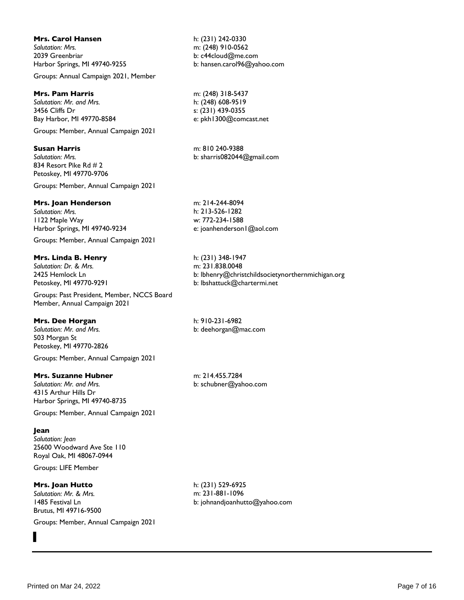## **Mrs. Carol Hansen**

*Salutation: Mrs.* 2039 Greenbriar Harbor Springs, MI 49740-9255

Groups: Annual Campaign 2021, Member

## **Mrs. Pam Harris**

*Salutation: Mr. and Mrs.* 3456 Cliffs Dr Bay Harbor, MI 49770-8584

Groups: Member, Annual Campaign 2021

## **Susan Harris**

*Salutation: Mrs.* 834 Resort Pike Rd # 2 Petoskey, MI 49770-9706

Groups: Member, Annual Campaign 2021

#### **Mrs. Joan Henderson**

*Salutation: Mrs.* 1122 Maple Way Harbor Springs, MI 49740-9234

Groups: Member, Annual Campaign 2021

#### **Mrs. Linda B. Henry**

*Salutation: Dr. & Mrs.* 2425 Hemlock Ln Petoskey, MI 49770-9291

Groups: Past President, Member, NCCS Board Member, Annual Campaign 2021

#### **Mrs. Dee Horgan**

*Salutation: Mr. and Mrs.* 503 Morgan St Petoskey, MI 49770-2826 Groups: Member, Annual Campaign 2021

#### **Mrs. Suzanne Hubner**

*Salutation: Mr. and Mrs.* 4315 Arthur Hills Dr Harbor Springs, MI 49740-8735

Groups: Member, Annual Campaign 2021

#### **Jean**

*Salutation: Jean* 25600 Woodward Ave Ste 110 Royal Oak, MI 48067-0944

Groups: LIFE Member

## **Mrs. Joan Hutto**

*Salutation: Mr. & Mrs.* 1485 Festival Ln Brutus, MI 49716-9500

Groups: Member, Annual Campaign 2021



h: (231) 242-0330 m: (248) 910-0562 b: c44cloud@me.com b: hansen.carol96@yahoo.com

m: (248) 318-5437 h: (248) 608-9519 s: (231) 439-0355 e: pkh1300@comcast.net

m: 810 240-9388 b: sharris082044@gmail.com

m: 214-244-8094 h: 213-526-1282 w: 772-234-1588 e: joanhenderson1@aol.com

h: (231) 348-1947 m: 231.838.0048 b: lbhenry@christchildsocietynorthernmichigan.org b: lbshattuck@chartermi.net

h: 910-231-6982 b: deehorgan@mac.com

m: 214.455.7284 b: schubner@yahoo.com

h: (231) 529-6925 m: 231-881-1096 b: johnandjoanhutto@yahoo.com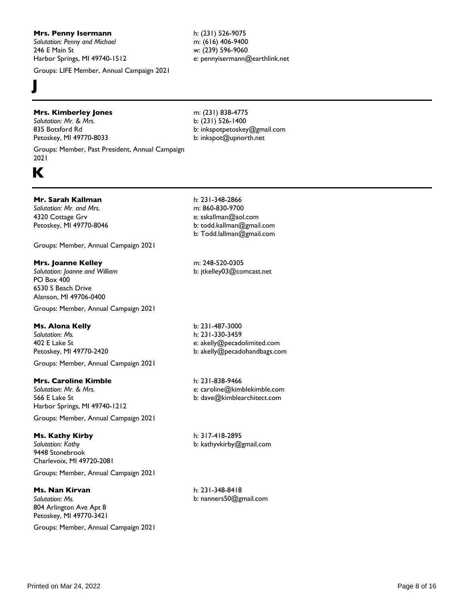#### **Mrs. Penny Isermann**

*Salutation: Penny and Michael* 246 E Main St Harbor Springs, MI 49740-1512

Groups: LIFE Member, Annual Campaign 2021

#### h: (231) 526-9075 m: (616) 406-9400 w: (239) 596-9060 e: pennyisermann@earthlink.net

## **Mrs. Kimberley Jones**

*Salutation: Mr. & Mrs.* 835 Botsford Rd Petoskey, MI 49770-8033

Groups: Member, Past President, Annual Campaign 2021

# **K**

**J**

## **Mr. Sarah Kallman**

*Salutation: Mr. and Mrs.* 4320 Cottage Grv Petoskey, MI 49770-8046

Groups: Member, Annual Campaign 2021

## **Mrs. Joanne Kelley**

*Salutation: Joanne and William* PO Box 400 6530 S Beach Drive Alanson, MI 49706-0400 Groups: Member, Annual Campaign 2021

## **Ms. Alona Kelly**

*Salutation: Ms.* 402 E Lake St Petoskey, MI 49770-2420

Groups: Member, Annual Campaign 2021

## **Mrs. Caroline Kimble**

*Salutation: Mr. & Mrs.* 566 E Lake St Harbor Springs, MI 49740-1212

Groups: Member, Annual Campaign 2021

## **Ms. Kathy Kirby**

*Salutation: Kathy* 9448 Stonebrook Charlevoix, MI 49720-2081

Groups: Member, Annual Campaign 2021

## **Ms. Nan Kirvan**

*Salutation: Ms.* 804 Arlington Ave Apt 8 Petoskey, MI 49770-3421

Groups: Member, Annual Campaign 2021

m: (231) 838-4775 b: (231) 526-1400 b: inkspotpetoskey@gmail.com b: inkspot@upnorth.net

h: 231-348-2866 m: 860-830-9700 e: sskallman@aol.com b: todd.kallman@gmail.com b: Todd.lallman@gmail.com

m: 248-520-0305 b: jtkelley03@comcast.net

b: 231-487-3000 h: 231-330-3459 e: akelly@pecadolimited.com b: akelly@pecadohandbags.com

h: 231-838-9466 e: caroline@kimblekimble.com b: dave@kimblearchitect.com

h: 317-418-2895 b: kathyvkirby@gmail.com

h: 231-348-8418 b: nanners50@gmail.com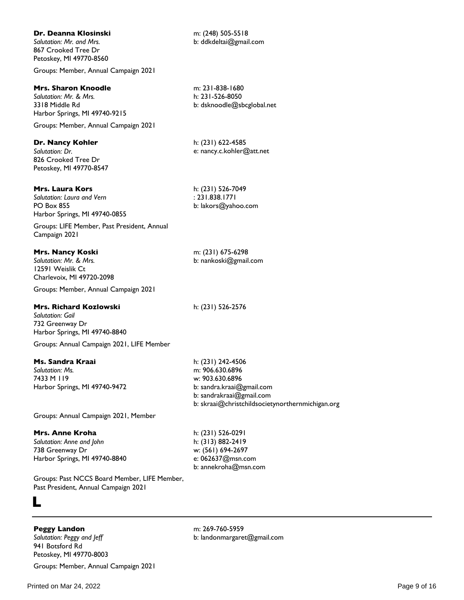## **Dr. Deanna Klosinski**

*Salutation: Mr. and Mrs.* 867 Crooked Tree Dr Petoskey, MI 49770-8560

Groups: Member, Annual Campaign 2021

#### **Mrs. Sharon Knoodle**

*Salutation: Mr. & Mrs.* 3318 Middle Rd Harbor Springs, MI 49740-9215

Groups: Member, Annual Campaign 2021

#### **Dr. Nancy Kohler**

*Salutation: Dr.* 826 Crooked Tree Dr Petoskey, MI 49770-8547

#### **Mrs. Laura Kors**

*Salutation: Laura and Vern* PO Box 855 Harbor Springs, MI 49740-0855

Groups: LIFE Member, Past President, Annual Campaign 2021

#### **Mrs. Nancy Koski**

*Salutation: Mr. & Mrs.* 12591 Weislik Ct Charlevoix, MI 49720-2098

Groups: Member, Annual Campaign 2021

#### **Mrs. Richard Kozlowski**

*Salutation: Gail* 732 Greenway Dr Harbor Springs, MI 49740-8840 Groups: Annual Campaign 2021, LIFE Member

#### **Ms. Sandra Kraai**

*Salutation: Ms.* 7433 M 119 Harbor Springs, MI 49740-9472 h: (231) 242-4506 m: 906.630.6896 w: 903.630.6896 b: sandra.kraai@gmail.com b: sandrakraai@gmail.com b: skraai@christchildsocietynorthernmichigan.org

Groups: Annual Campaign 2021, Member

## **Mrs. Anne Kroha**

*Salutation: Anne and John* 738 Greenway Dr Harbor Springs, MI 49740-8840

Groups: Past NCCS Board Member, LIFE Member, Past President, Annual Campaign 2021

## **L**

#### **Peggy Landon**

*Salutation: Peggy and Jeff* 941 Botsford Rd Petoskey, MI 49770-8003

Groups: Member, Annual Campaign 2021

m: 231-838-1680 h: 231-526-8050 b: dsknoodle@sbcglobal.net

m: (248) 505-5518 b: ddkdeltai@gmail.com

h: (231) 622-4585 e: nancy.c.kohler@att.net

h: (231) 526-7049 : 231.838.1771 b: lakors@yahoo.com

m: (231) 675-6298 b: nankoski@gmail.com

h: (231) 526-2576

h: (231) 526-0291 h: (313) 882-2419 w: (561) 694-2697 e: 062637@msn.com b: annekroha@msn.com

m: 269-760-5959

b: landonmargaret@gmail.com

Printed on Mar 24, 2022 **Page 9 of 16** Page 9 of 16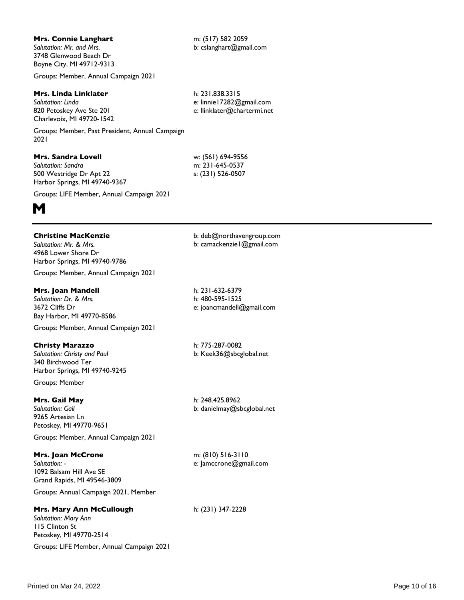Printed on Mar 24, 2022 **Page 10 of 16** Page 10 of 16

## **Mrs. Connie Langhart**

*Salutation: Mr. and Mrs.* 3748 Glenwood Beach Dr Boyne City, MI 49712-9313

Groups: Member, Annual Campaign 2021

#### **Mrs. Linda Linklater**

*Salutation: Linda* 820 Petoskey Ave Ste 201 Charlevoix, MI 49720-1542

Groups: Member, Past President, Annual Campaign 2021

## **Mrs. Sandra Lovell**

*Salutation: Sandra* 500 Westridge Dr Apt 22 Harbor Springs, MI 49740-9367

Groups: LIFE Member, Annual Campaign 2021



## **Christine MacKenzie**

*Salutation: Mr. & Mrs.* 4968 Lower Shore Dr Harbor Springs, MI 49740-9786

Groups: Member, Annual Campaign 2021

## **Mrs. Joan Mandell**

*Salutation: Dr. & Mrs.* 3672 Cliffs Dr Bay Harbor, MI 49770-8586

Groups: Member, Annual Campaign 2021

## **Christy Marazzo**

*Salutation: Christy and Paul* 340 Birchwood Ter Harbor Springs, MI 49740-9245

Groups: Member

## **Mrs. Gail May**

*Salutation: Gail* 9265 Artesian Ln Petoskey, MI 49770-9651

Groups: Member, Annual Campaign 2021

## **Mrs. Joan McCrone**

*Salutation: -* 1092 Balsam Hill Ave SE Grand Rapids, MI 49546-3809

Groups: Annual Campaign 2021, Member

## **Mrs. Mary Ann McCullough**

*Salutation: Mary Ann* 115 Clinton St Petoskey, MI 49770-2514 Groups: LIFE Member, Annual Campaign 2021 b: deb@northavengroup.com b: camackenzie1@gmail.com

h: 231-632-6379 h: 480-595-1525 e: joancmandell@gmail.com

h: 775-287-0082 b: Keek36@sbcglobal.net

h: 248.425.8962 b: danielmay@sbcglobal.net

m: (810) 516-3110 e: Jamccrone@gmail.com

h: (231) 347-2228

h: 231.838.3315 e: linnie17282@gmail.com

w: (561) 694-9556 m: 231-645-0537 s: (231) 526-0507

e: llinklater@chartermi.net

m: (517) 582 2059 b: cslanghart@gmail.com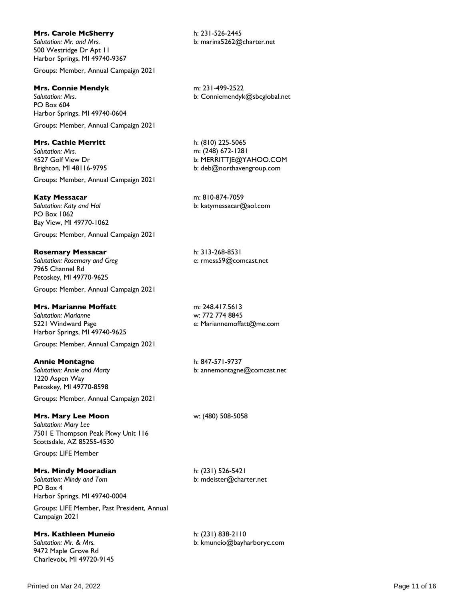#### **Mrs. Carole McSherry**

*Salutation: Mr. and Mrs.* 500 Westridge Dr Apt 11 Harbor Springs, MI 49740-9367

Groups: Member, Annual Campaign 2021

## **Mrs. Connie Mendyk**

*Salutation: Mrs.* PO Box 604 Harbor Springs, MI 49740-0604

Groups: Member, Annual Campaign 2021

## **Mrs. Cathie Merritt**

*Salutation: Mrs.* 4527 Golf View Dr Brighton, MI 48116-9795

Groups: Member, Annual Campaign 2021

## **Katy Messacar**

*Salutation: Katy and Hal* PO Box 1062 Bay View, MI 49770-1062

Groups: Member, Annual Campaign 2021

## **Rosemary Messacar**

*Salutation: Rosemary and Greg* 7965 Channel Rd Petoskey, MI 49770-9625

Groups: Member, Annual Campaign 2021

## **Mrs. Marianne Moffatt**

*Salutation: Marianne* 5221 Windward Psge Harbor Springs, MI 49740-9625

Groups: Member, Annual Campaign 2021

## **Annie Montagne**

*Salutation: Annie and Marty* 1220 Aspen Way Petoskey, MI 49770-8598

Groups: Member, Annual Campaign 2021

## **Mrs. Mary Lee Moon**

*Salutation: Mary Lee* 7501 E Thompson Peak Pkwy Unit 116 Scottsdale, AZ 85255-4530

Groups: LIFE Member

## **Mrs. Mindy Mooradian**

*Salutation: Mindy and Tom* PO Box 4 Harbor Springs, MI 49740-0004

Groups: LIFE Member, Past President, Annual Campaign 2021

**Mrs. Kathleen Muneio** *Salutation: Mr. & Mrs.* 9472 Maple Grove Rd Charlevoix, MI 49720-9145

h: 231-526-2445 b: marina5262@charter.net

m: 231-499-2522 b: Conniemendyk@sbcglobal.net

h: (810) 225-5065 m: (248) 672-1281 b: MERRITTJE@YAHOO.COM b: deb@northavengroup.com

m: 810-874-7059 b: katymessacar@aol.com

h: 313-268-8531 e: rmess59@comcast.net

m: 248.417.5613 w: 772 774 8845 e: Mariannemoffatt@me.com

h: 847-571-9737 b: annemontagne@comcast.net

w: (480) 508-5058

h: (231) 526-5421 b: mdeister@charter.net

h: (231) 838-2110 b: kmuneio@bayharboryc.com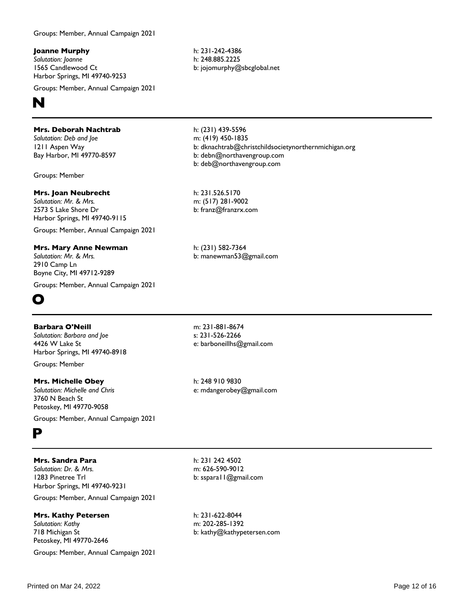Groups: Member, Annual Campaign 2021

**Joanne Murphy**

*Salutation: Joanne* 1565 Candlewood Ct Harbor Springs, MI 49740-9253

Groups: Member, Annual Campaign 2021



## **Mrs. Deborah Nachtrab**

*Salutation: Deb and Joe* 1211 Aspen Way Bay Harbor, MI 49770-8597

Groups: Member

## **Mrs. Joan Neubrecht**

*Salutation: Mr. & Mrs.* 2573 S Lake Shore Dr Harbor Springs, MI 49740-9115 Groups: Member, Annual Campaign 2021

**Mrs. Mary Anne Newman** *Salutation: Mr. & Mrs.* 2910 Camp Ln Boyne City, MI 49712-9289

Groups: Member, Annual Campaign 2021



## **Barbara O'Neill**

*Salutation: Barbara and Joe* 4426 W Lake St Harbor Springs, MI 49740-8918 Groups: Member

**Mrs. Michelle Obey** *Salutation: Michelle and Chris* 3760 N Beach St Petoskey, MI 49770-9058

Groups: Member, Annual Campaign 2021



## **Mrs. Sandra Para**

*Salutation: Dr. & Mrs.* 1283 Pinetree Trl Harbor Springs, MI 49740-9231

Groups: Member, Annual Campaign 2021

## **Mrs. Kathy Petersen**

*Salutation: Kathy* 718 Michigan St Petoskey, MI 49770-2646

Groups: Member, Annual Campaign 2021

h: 231-242-4386 h: 248.885.2225 b: jojomurphy@sbcglobal.net

h: (231) 439-5596 m: (419) 450-1835 b: dknachtrab@christchildsocietynorthernmichigan.org b: debn@northavengroup.com b: deb@northavengroup.com

h: 231.526.5170 m: (517) 281-9002 b: franz@franzrx.com

h: (231) 582-7364 b: manewman53@gmail.com

m: 231-881-8674 s: 231-526-2266 e: barboneillhs@gmail.com

h: 248 910 9830 e: mdangerobey@gmail.com

h: 231 242 4502 m: 626-590-9012 b: sspara11@gmail.com

h: 231-622-8044 m: 202-285-1392 b: kathy@kathypetersen.com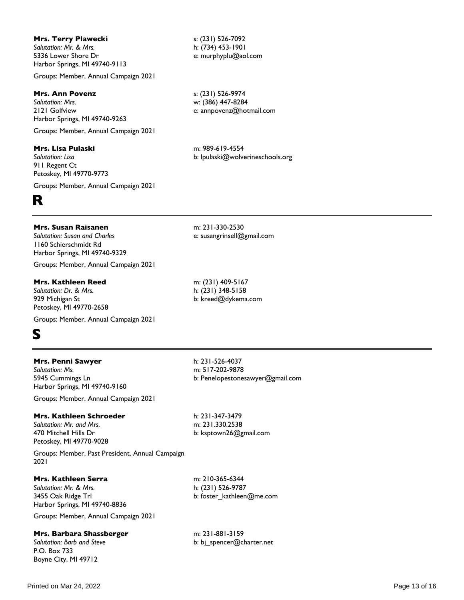#### **Mrs. Terry Plawecki**

*Salutation: Mr. & Mrs.* 5336 Lower Shore Dr Harbor Springs, MI 49740-9113

Groups: Member, Annual Campaign 2021

#### **Mrs. Ann Povenz**

*Salutation: Mrs.* 2121 Golfview Harbor Springs, MI 49740-9263

Groups: Member, Annual Campaign 2021

#### **Mrs. Lisa Pulaski**

*Salutation: Lisa* 911 Regent Ct Petoskey, MI 49770-9773

Groups: Member, Annual Campaign 2021

# **R**

#### **Mrs. Susan Raisanen**

*Salutation: Susan and Charles* 1160 Schierschmidt Rd Harbor Springs, MI 49740-9329

Groups: Member, Annual Campaign 2021

**Mrs. Kathleen Reed** *Salutation: Dr. & Mrs.* 929 Michigan St Petoskey, MI 49770-2658

Groups: Member, Annual Campaign 2021



## **Mrs. Penni Sawyer**

*Salutation: Ms.* 5945 Cummings Ln Harbor Springs, MI 49740-9160

Groups: Member, Annual Campaign 2021

#### **Mrs. Kathleen Schroeder**

*Salutation: Mr. and Mrs.* 470 Mitchell Hills Dr Petoskey, MI 49770-9028

Groups: Member, Past President, Annual Campaign 2021

#### **Mrs. Kathleen Serra**

*Salutation: Mr. & Mrs.* 3455 Oak Ridge Trl Harbor Springs, MI 49740-8836

Groups: Member, Annual Campaign 2021

#### **Mrs. Barbara Shassberger**

*Salutation: Barb and Steve* P.O. Box 733 Boyne City, MI 49712

s: (231) 526-7092 h: (734) 453-1901 e: murphyplu@aol.com

s: (231) 526-9974 w: (386) 447-8284 e: annpovenz@hotmail.com

m: 989-619-4554 b: lpulaski@wolverineschools.org

m: 231-330-2530 e: susangrinsell@gmail.com

m: (231) 409-5167 h: (231) 348-5158 b: kreed@dykema.com

h: 231-526-4037 m: 517-202-9878 b: Penelopestonesawyer@gmail.com

h: 231-347-3479 m: 231.330.2538 b: ksptown26@gmail.com

m: 210-365-6344 h: (231) 526-9787 b: foster\_kathleen@me.com

m: 231-881-3159 b: bj\_spencer@charter.net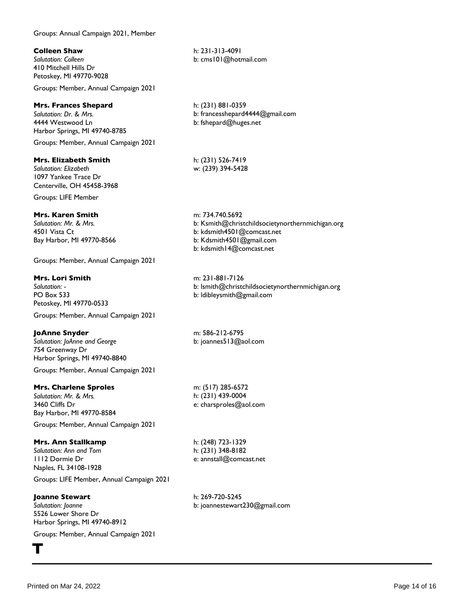Groups: Annual Campaign 2021, Member

## **Colleen Shaw**

*Salutation: Colleen* 410 Mitchell Hills Dr Petoskey, MI 49770-9028

Groups: Member, Annual Campaign 2021

## **Mrs. Frances Shepard**

*Salutation: Dr. & Mrs.* 4444 Westwood Ln Harbor Springs, MI 49740-8785 Groups: Member, Annual Campaign 2021

## **Mrs. Elizabeth Smith**

*Salutation: Elizabeth* 1097 Yankee Trace Dr Centerville, OH 45458-3968

Groups: LIFE Member

## **Mrs. Karen Smith**

*Salutation: Mr. & Mrs.* 4501 Vista Ct Bay Harbor, MI 49770-8566

Groups: Member, Annual Campaign 2021

## **Mrs. Lori Smith**

*Salutation: -* PO Box 533 Petoskey, MI 49770-0533

Groups: Member, Annual Campaign 2021

## **JoAnne Snyder**

*Salutation: JoAnne and George* 754 Greenway Dr Harbor Springs, MI 49740-8840 Groups: Member, Annual Campaign 2021

## **Mrs. Charlene Sproles**

*Salutation: Mr. & Mrs.* 3460 Cliffs Dr Bay Harbor, MI 49770-8584

Groups: Member, Annual Campaign 2021

## **Mrs. Ann Stallkamp**

*Salutation: Ann and Tom* 1112 Dormie Dr Naples, FL 34108-1928

Groups: LIFE Member, Annual Campaign 2021

## **Joanne Stewart**

*Salutation: Joanne* 5526 Lower Shore Dr Harbor Springs, MI 49740-8912

Groups: Member, Annual Campaign 2021

h: 231-313-4091 b: cms101@hotmail.com

h: (231) 881-0359 b: francesshepard4444@gmail.com b: fshepard@huges.net

h: (231) 526-7419 w: (239) 394-5428

m: 734.740.5692 b: Ksmith@christchildsocietynorthernmichigan.org b: kdsmith4501@comcast.net b: Kdsmith4501@gmail.com b: kdsmith14@comcast.net

m: 231-881-7126 b: lsmith@christchildsocietynorthernmichigan.org b: ldibleysmith@gmail.com

m: 586-212-6795 b: joannes513@aol.com

m: (517) 285-6572 h: (231) 439-0004 e: charsproles@aol.com

h: (248) 723-1329 h: (231) 348-8182 e: annstall@comcast.net

h: 269-720-5245 b: joannestewart230@gmail.com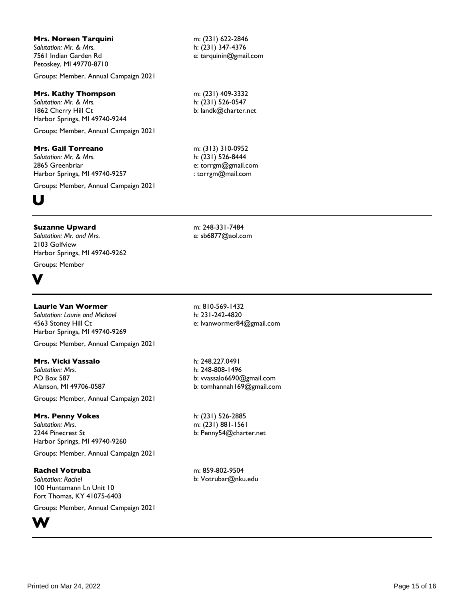#### **Mrs. Noreen Tarquini**

*Salutation: Mr. & Mrs.* 7561 Indian Garden Rd Petoskey, MI 49770-8710

Groups: Member, Annual Campaign 2021

#### **Mrs. Kathy Thompson**

*Salutation: Mr. & Mrs.* 1862 Cherry Hill Ct Harbor Springs, MI 49740-9244

Groups: Member, Annual Campaign 2021

#### **Mrs. Gail Torreano**

*Salutation: Mr. & Mrs.* 2865 Greenbriar Harbor Springs, MI 49740-9257

Groups: Member, Annual Campaign 2021

# **U**

#### **Suzanne Upward**

*Salutation: Mr. and Mrs.* 2103 Golfview Harbor Springs, MI 49740-9262 Groups: Member

**V**

#### **Laurie Van Wormer**

*Salutation: Laurie and Michael* 4563 Stoney Hill Ct Harbor Springs, MI 49740-9269

Groups: Member, Annual Campaign 2021

## **Mrs. Vicki Vassalo**

*Salutation: Mrs.* PO Box 587 Alanson, MI 49706-0587

Groups: Member, Annual Campaign 2021

#### **Mrs. Penny Vokes**

*Salutation: Mrs.* 2244 Pinecrest St Harbor Springs, MI 49740-9260

Groups: Member, Annual Campaign 2021

**Rachel Votruba** *Salutation: Rachel*

100 Huntemann Ln Unit 10 Fort Thomas, KY 41075-6403

Groups: Member, Annual Campaign 2021



m: (231) 622-2846 h: (231) 347-4376 e: tarquinin@gmail.com

m: (231) 409-3332 h: (231) 526-0547 b: landk@charter.net

m: (313) 310-0952 h: (231) 526-8444 e: torrgm@gmail.com : torrgm@mail.com

m: 248-331-7484 e: sb6877@aol.com

m: 810-569-1432 h: 231-242-4820 e: lvanwormer84@gmail.com

h: 248.227.0491 h: 248-808-1496 b: vvassalo6690@gmail.com b: tomhannah169@gmail.com

h: (231) 526-2885 m: (231) 881-1561 b: Penny54@charter.net

m: 859-802-9504 b: Votrubar@nku.edu